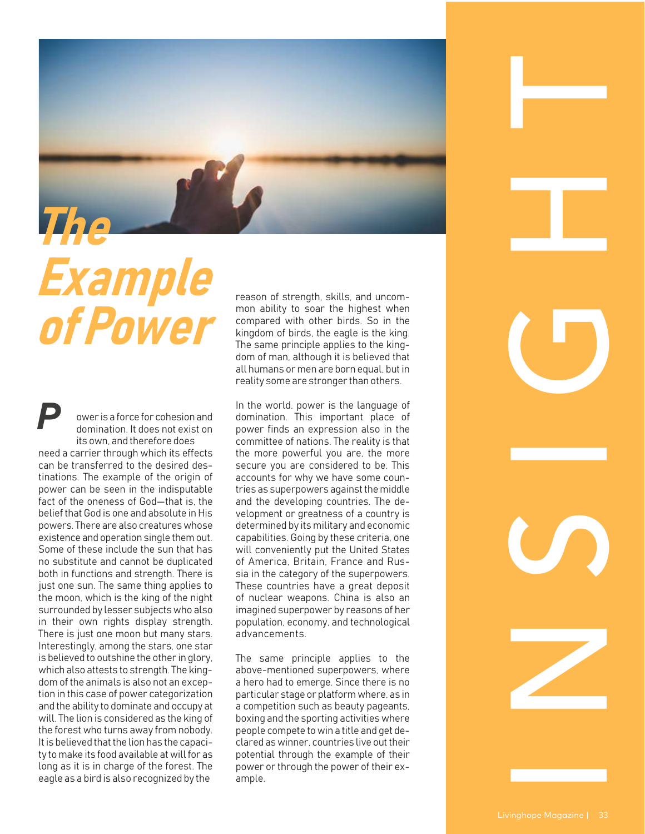

## *Example of Power*

ower is a force for cohesion and domination. It does not exist on its own, and therefore does need a carrier through which its effects can be transferred to the desired destinations. The example of the origin of power can be seen in the indisputable fact of the oneness of God—that is, the belief that God is one and absolute in His powers. There are also creatures whose existence and operation single them out. Some of these include the sun that has no substitute and cannot be duplicated both in functions and strength. There is just one sun. The same thing applies to the moon, which is the king of the night surrounded by lesser subjects who also in their own rights display strength. There is just one moon but many stars. Interestingly, among the stars, one star is believed to outshine the other in glory, which also attests to strength. The kingdom of the animals is also not an exception in this case of power categorization and the ability to dominate and occupy at will. The lion is considered as the king of the forest who turns away from nobody. It is believed that the lion has the capacity to make its food available at will for as long as it is in charge of the forest. The eagle as a bird is also recognized by the *P*

reason of strength, skills, and uncommon ability to soar the highest when compared with other birds. So in the kingdom of birds, the eagle is the king. The same principle applies to the kingdom of man, although it is believed that all humans or men are born equal, but in reality some are stronger than others.

In the world, power is the language of domination. This important place of power finds an expression also in the committee of nations. The reality is that the more powerful you are, the more secure you are considered to be. This accounts for why we have some countries as superpowers against the middle and the developing countries. The development or greatness of a country is determined by its military and economic capabilities. Going by these criteria, one will conveniently put the United States of America, Britain, France and Russia in the category of the superpowers. These countries have a great deposit of nuclear weapons. China is also an imagined superpower by reasons of her population, economy, and technological advancements.

The same principle applies to the above-mentioned superpowers, where a hero had to emerge. Since there is no particular stage or platform where, as in a competition such as beauty pageants, boxing and the sporting activities where people compete to win a title and get declared as winner, countries live out their potential through the example of their power or through the power of their example.